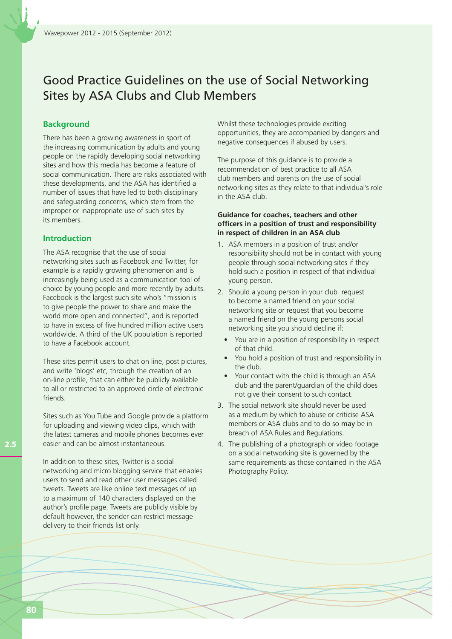# Good Practice Guidelines on the use of Social Networking Sites by ASA Clubs and Club Members

## **Background**

There has been a growing awareness in sport of the increasing communication by adults and young people on the rapidly developing social networking sites and how this media has become a feature of social communication. There are risks associated with these developments, and the ASA has identified a number of issues that have led to both disciplinary and safeguarding concerns, which stem from the improper or inappropriate use of such sites by its members.

## **Introduction**

The ASA recognise that the use of social networking sites such as Facebook and Twitter, for example is a rapidly growing phenomenon and is increasingly being used as a communication tool of choice by young people and more recently by adults. Facebook is the largest such site who's "mission is to give people the power to share and make the world more open and connected", and is reported to have in excess of five hundred million active users worldwide. A third of the UK population is reported to have a Facebook account.

These sites permit users to chat on line, post pictures, and write 'blogs' etc, through the creation of an on-line profile, that can either be publicly available to all or restricted to an approved circle of electronic friends.

Sites such as You Tube and Google provide a platform for uploading and viewing video clips, which with the latest cameras and mobile phones becomes ever easier and can be almost instantaneous.

In addition to these sites, Twitter is a social networking and micro blogging service that enables users to send and read other user messages called tweets. Tweets are like online text messages of up to a maximum of 140 characters displayed on the author's profile page. Tweets are publicly visible by default however, the sender can restrict message delivery to their friends list only.

Whilst these technologies provide exciting opportunities, they are accompanied by dangers and negative consequences if abused by users.

The purpose of this guidance is to provide a recommendation of best practice to all ASA club members and parents on the use of social networking sites as they relate to that individual's role in the ASA club.

#### **Guidance for coaches, teachers and other officers in a position of trust and responsibility in respect of children in an ASA club**

- 1. ASA members in a position of trust and/or responsibility should not be in contact with young people through social networking sites if they hold such a position in respect of that individual young person.
- 2. Should a young person in your club request to become a named friend on your social networking site or request that you become a named friend on the young persons social networking site you should decline if:
	- You are in a position of responsibility in respect of that child.
	- You hold a position of trust and responsibility in the club.
	- Your contact with the child is through an ASA club and the parent/guardian of the child does not give their consent to such contact.
- 3. The social network site should never be used as a medium by which to abuse or criticise ASA members or ASA clubs and to do so may be in breach of ASA Rules and Regulations.
- 4. The publishing of a photograph or video footage on a social networking site is governed by the same requirements as those contained in the ASA Photography Policy.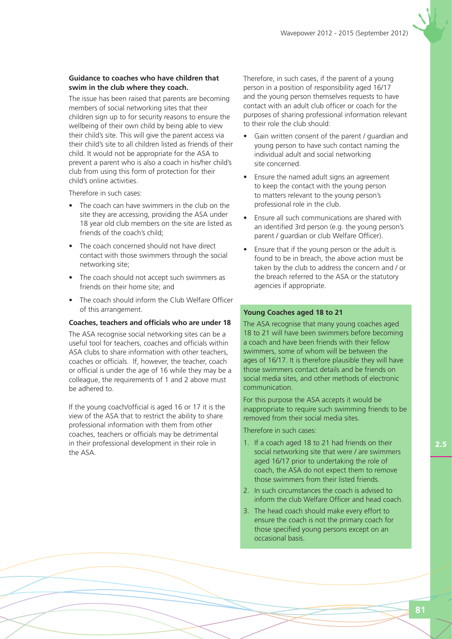#### **Guidance to coaches who have children that swim in the club where they coach.**

The issue has been raised that parents are becoming members of social networking sites that their children sign up to for security reasons to ensure the wellbeing of their own child by being able to view their child's site. This will give the parent access via their child's site to all children listed as friends of their child. It would not be appropriate for the ASA to prevent a parent who is also a coach in his/her child's club from using this form of protection for their child's online activities.

Therefore in such cases:

- The coach can have swimmers in the club on the site they are accessing, providing the ASA under 18 year old club members on the site are listed as friends of the coach's child;
- The coach concerned should not have direct contact with those swimmers through the social networking site;
- The coach should not accept such swimmers as friends on their home site; and
- The coach should inform the Club Welfare Officer of this arrangement.

#### **Coaches, teachers and officials who are under 18**

The ASA recognise social networking sites can be a useful tool for teachers, coaches and officials within ASA clubs to share information with other teachers, coaches or officials. If, however, the teacher, coach or official is under the age of 16 while they may be a colleague, the requirements of 1 and 2 above must be adhered to.

If the young coach/official is aged 16 or 17 it is the view of the ASA that to restrict the ability to share professional information with them from other coaches, teachers or officials may be detrimental in their professional development in their role in the ASA.

Therefore, in such cases, if the parent of a young person in a position of responsibility aged 16/17 and the young person themselves requests to have contact with an adult club officer or coach for the purposes of sharing professional information relevant to their role the club should:

- Gain written consent of the parent / quardian and young person to have such contact naming the individual adult and social networking site concerned.
- Ensure the named adult signs an agreement to keep the contact with the young person to matters relevant to the young person's professional role in the club.
- Ensure all such communications are shared with an identified 3rd person (e.g. the young person's parent / guardian or club Welfare Officer).
- Ensure that if the young person or the adult is found to be in breach, the above action must be taken by the club to address the concern and / or the breach referred to the ASA or the statutory agencies if appropriate.

### **Young Coaches aged 18 to 21**

The ASA recognise that many young coaches aged 18 to 21 will have been swimmers before becoming a coach and have been friends with their fellow swimmers, some of whom will be between the ages of 16/17. It is therefore plausible they will have those swimmers contact details and be friends on social media sites, and other methods of electronic communication.

For this purpose the ASA accepts it would be inappropriate to require such swimming friends to be removed from their social media sites.

Therefore in such cases:

- 1. If a coach aged 18 to 21 had friends on their social networking site that were / are swimmers aged 16/17 prior to undertaking the role of coach, the ASA do not expect them to remove those swimmers from their listed friends.
- 2. In such circumstances the coach is advised to inform the club Welfare Officer and head coach.
- 3. The head coach should make every effort to ensure the coach is not the primary coach for those specified young persons except on an occasional basis.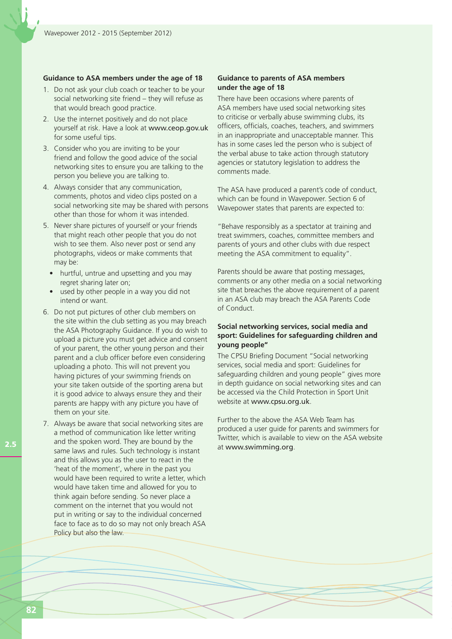#### **Guidance to ASA members under the age of 18**

- 1. Do not ask your club coach or teacher to be your social networking site friend – they will refuse as that would breach good practice.
- 2. Use the internet positively and do not place yourself at risk. Have a look at www.ceop.gov.uk for some useful tips.
- 3. Consider who you are inviting to be your friend and follow the good advice of the social networking sites to ensure you are talking to the person you believe you are talking to.
- 4. Always consider that any communication, comments, photos and video clips posted on a social networking site may be shared with persons other than those for whom it was intended.
- 5. Never share pictures of yourself or your friends that might reach other people that you do not wish to see them. Also never post or send any photographs, videos or make comments that may be:
	- hurtful, untrue and upsetting and you may regret sharing later on;
	- used by other people in a way you did not intend or want.
- 6. Do not put pictures of other club members on the site within the club setting as you may breach the ASA Photography Guidance. If you do wish to upload a picture you must get advice and consent of your parent, the other young person and their parent and a club officer before even considering uploading a photo. This will not prevent you having pictures of your swimming friends on your site taken outside of the sporting arena but it is good advice to always ensure they and their parents are happy with any picture you have of them on your site.
- 7. Always be aware that social networking sites are a method of communication like letter writing and the spoken word. They are bound by the same laws and rules. Such technology is instant and this allows you as the user to react in the 'heat of the moment', where in the past you would have been required to write a letter, which would have taken time and allowed for you to think again before sending. So never place a comment on the internet that you would not put in writing or say to the individual concerned face to face as to do so may not only breach ASA Policy but also the law.

### **Guidance to parents of ASA members under the age of 18**

There have been occasions where parents of ASA members have used social networking sites to criticise or verbally abuse swimming clubs, its officers, officials, coaches, teachers, and swimmers in an inappropriate and unacceptable manner. This has in some cases led the person who is subject of the verbal abuse to take action through statutory agencies or statutory legislation to address the comments made.

The ASA have produced a parent's code of conduct, which can be found in Wavepower. Section 6 of Wavepower states that parents are expected to:

"Behave responsibly as a spectator at training and treat swimmers, coaches, committee members and parents of yours and other clubs with due respect meeting the ASA commitment to equality".

Parents should be aware that posting messages, comments or any other media on a social networking site that breaches the above requirement of a parent in an ASA club may breach the ASA Parents Code of Conduct.

### **Social networking services, social media and sport: Guidelines for safeguarding children and young people"**

The CPSU Briefing Document "Social networking services, social media and sport: Guidelines for safeguarding children and young people" gives more in depth guidance on social networking sites and can be accessed via the Child Protection in Sport Unit website at www.cpsu.org.uk.

Further to the above the ASA Web Team has produced a user guide for parents and swimmers for Twitter, which is available to view on the ASA website at www.swimming.org.